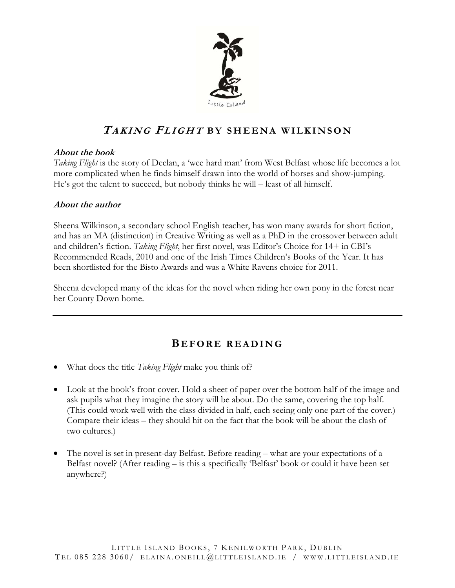

## **TAKING FLIGHT BY SHEENA WILKINSON**

#### **About the book**

*Taking Flight* is the story of Declan, a 'wee hard man' from West Belfast whose life becomes a lot more complicated when he finds himself drawn into the world of horses and show-jumping. He's got the talent to succeed, but nobody thinks he will – least of all himself.

#### **About the author**

Sheena Wilkinson, a secondary school English teacher, has won many awards for short fiction, and has an MA (distinction) in Creative Writing as well as a PhD in the crossover between adult and children's fiction. *Taking Flight*, her first novel, was Editor's Choice for 14+ in CBI's Recommended Reads, 2010 and one of the Irish Times Children's Books of the Year. It has been shortlisted for the Bisto Awards and was a White Ravens choice for 2011.

Sheena developed many of the ideas for the novel when riding her own pony in the forest near her County Down home.

### **B EFORE READING**

- What does the title *Taking Flight* make you think of?
- Look at the book's front cover. Hold a sheet of paper over the bottom half of the image and ask pupils what they imagine the story will be about. Do the same, covering the top half. (This could work well with the class divided in half, each seeing only one part of the cover.) Compare their ideas – they should hit on the fact that the book will be about the clash of two cultures.)
- The novel is set in present-day Belfast. Before reading what are your expectations of a Belfast novel? (After reading – is this a specifically 'Belfast' book or could it have been set anywhere?)